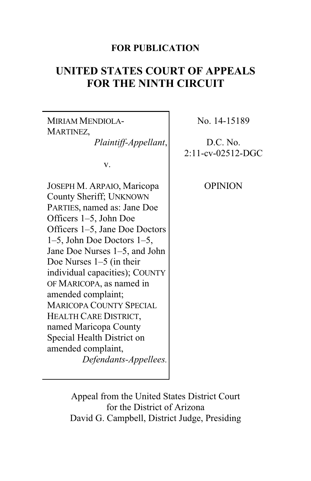# **FOR PUBLICATION**

# **UNITED STATES COURT OF APPEALS FOR THE NINTH CIRCUIT**

MIRIAM MENDIOLA-MARTINEZ, *Plaintiff-Appellant*, v. JOSEPH M. ARPAIO, Maricopa County Sheriff; UNKNOWN PARTIES, named as: Jane Doe Officers 1–5, John Doe Officers 1–5, Jane Doe Doctors 1–5, John Doe Doctors 1–5, Jane Doe Nurses 1–5, and John Doe Nurses 1–5 (in their individual capacities); COUNTY OF MARICOPA, as named in amended complaint; MARICOPA COUNTY SPECIAL HEALTH CARE DISTRICT, named Maricopa County Special Health District on amended complaint, *Defendants-Appellees.*

No. 14-15189

D.C. No. 2:11-cv-02512-DGC

OPINION

Appeal from the United States District Court for the District of Arizona David G. Campbell, District Judge, Presiding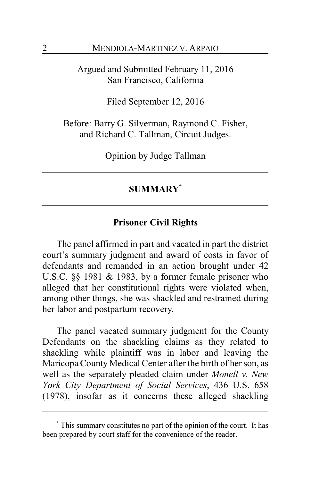Argued and Submitted February 11, 2016 San Francisco, California

Filed September 12, 2016

Before: Barry G. Silverman, Raymond C. Fisher, and Richard C. Tallman, Circuit Judges.

Opinion by Judge Tallman

# **SUMMARY\***

# **Prisoner Civil Rights**

The panel affirmed in part and vacated in part the district court's summary judgment and award of costs in favor of defendants and remanded in an action brought under 42 U.S.C. §§ 1981 & 1983, by a former female prisoner who alleged that her constitutional rights were violated when, among other things, she was shackled and restrained during her labor and postpartum recovery.

The panel vacated summary judgment for the County Defendants on the shackling claims as they related to shackling while plaintiff was in labor and leaving the Maricopa County Medical Center after the birth of her son, as well as the separately pleaded claim under *Monell v. New York City Department of Social Services*, 436 U.S. 658 (1978), insofar as it concerns these alleged shackling

**<sup>\*</sup>** This summary constitutes no part of the opinion of the court. It has been prepared by court staff for the convenience of the reader.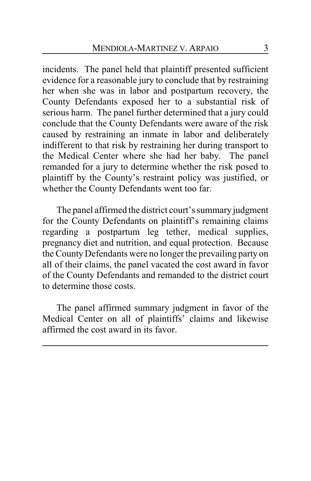incidents. The panel held that plaintiff presented sufficient evidence for a reasonable jury to conclude that by restraining her when she was in labor and postpartum recovery, the County Defendants exposed her to a substantial risk of serious harm. The panel further determined that a jury could conclude that the County Defendants were aware of the risk caused by restraining an inmate in labor and deliberately indifferent to that risk by restraining her during transport to the Medical Center where she had her baby. The panel remanded for a jury to determine whether the risk posed to plaintiff by the County's restraint policy was justified, or whether the County Defendants went too far.

The panel affirmed the district court's summary judgment for the County Defendants on plaintiff's remaining claims regarding a postpartum leg tether, medical supplies, pregnancy diet and nutrition, and equal protection. Because the County Defendants were no longer the prevailing party on all of their claims, the panel vacated the cost award in favor of the County Defendants and remanded to the district court to determine those costs.

The panel affirmed summary judgment in favor of the Medical Center on all of plaintiffs' claims and likewise affirmed the cost award in its favor.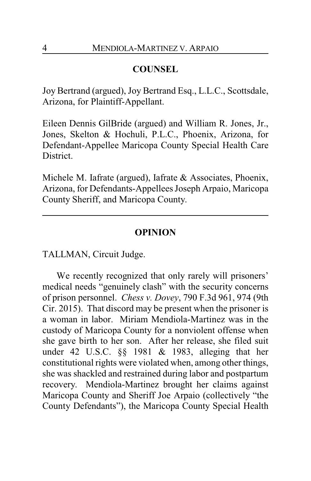# **COUNSEL**

Joy Bertrand (argued), Joy Bertrand Esq., L.L.C., Scottsdale, Arizona, for Plaintiff-Appellant.

Eileen Dennis GilBride (argued) and William R. Jones, Jr., Jones, Skelton & Hochuli, P.L.C., Phoenix, Arizona, for Defendant-Appellee Maricopa County Special Health Care District.

Michele M. Iafrate (argued), Iafrate & Associates, Phoenix, Arizona, for Defendants-Appellees Joseph Arpaio, Maricopa County Sheriff, and Maricopa County.

## **OPINION**

TALLMAN, Circuit Judge.

We recently recognized that only rarely will prisoners' medical needs "genuinely clash" with the security concerns of prison personnel. *Chess v. Dovey*, 790 F.3d 961, 974 (9th Cir. 2015). That discord may be present when the prisoner is a woman in labor. Miriam Mendiola-Martinez was in the custody of Maricopa County for a nonviolent offense when she gave birth to her son. After her release, she filed suit under 42 U.S.C. §§ 1981 & 1983, alleging that her constitutional rights were violated when, among other things, she was shackled and restrained during labor and postpartum recovery. Mendiola-Martinez brought her claims against Maricopa County and Sheriff Joe Arpaio (collectively "the County Defendants"), the Maricopa County Special Health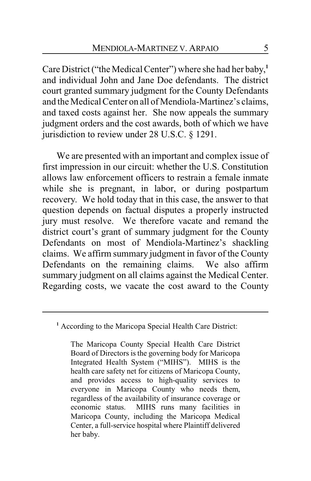Care District ("the Medical Center") where she had her baby, **1** and individual John and Jane Doe defendants. The district court granted summary judgment for the County Defendants and the Medical Center on all of Mendiola-Martinez's claims, and taxed costs against her. She now appeals the summary judgment orders and the cost awards, both of which we have jurisdiction to review under 28 U.S.C. § 1291.

We are presented with an important and complex issue of first impression in our circuit: whether the U.S. Constitution allows law enforcement officers to restrain a female inmate while she is pregnant, in labor, or during postpartum recovery. We hold today that in this case, the answer to that question depends on factual disputes a properly instructed jury must resolve. We therefore vacate and remand the district court's grant of summary judgment for the County Defendants on most of Mendiola-Martinez's shackling claims. We affirm summary judgment in favor of the County Defendants on the remaining claims. We also affirm summary judgment on all claims against the Medical Center. Regarding costs, we vacate the cost award to the County

**<sup>1</sup>** According to the Maricopa Special Health Care District:

The Maricopa County Special Health Care District Board of Directors is the governing body for Maricopa Integrated Health System ("MIHS"). MIHS is the health care safety net for citizens of Maricopa County, and provides access to high-quality services to everyone in Maricopa County who needs them, regardless of the availability of insurance coverage or MIHS runs many facilities in Maricopa County, including the Maricopa Medical Center, a full-service hospital where Plaintiff delivered her baby.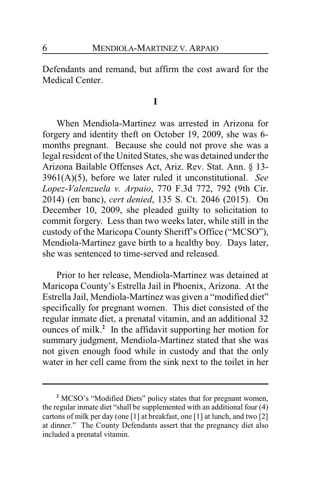Defendants and remand, but affirm the cost award for the Medical Center.

**I**

When Mendiola-Martinez was arrested in Arizona for forgery and identity theft on October 19, 2009, she was 6 months pregnant. Because she could not prove she was a legal resident of the United States, she was detained under the Arizona Bailable Offenses Act, Ariz. Rev. Stat. Ann. § 13- 3961(A)(5), before we later ruled it unconstitutional. *See Lopez-Valenzuela v. Arpaio*, 770 F.3d 772, 792 (9th Cir. 2014) (en banc), *cert denied*, 135 S. Ct. 2046 (2015). On December 10, 2009, she pleaded guilty to solicitation to commit forgery. Less than two weeks later, while still in the custody of the Maricopa County Sheriff's Office ("MCSO"), Mendiola-Martinez gave birth to a healthy boy. Days later, she was sentenced to time-served and released.

Prior to her release, Mendiola-Martinez was detained at Maricopa County's Estrella Jail in Phoenix, Arizona. At the Estrella Jail, Mendiola-Martinez was given a "modified diet" specifically for pregnant women. This diet consisted of the regular inmate diet, a prenatal vitamin, and an additional 32 ounces of milk. **2** In the affidavit supporting her motion for summary judgment, Mendiola-Martinez stated that she was not given enough food while in custody and that the only water in her cell came from the sink next to the toilet in her

**<sup>2</sup>** MCSO's "Modified Diets" policy states that for pregnant women, the regular inmate diet "shall be supplemented with an additional four (4) cartons of milk per day (one [1] at breakfast, one [1] at lunch, and two [2] at dinner." The County Defendants assert that the pregnancy diet also included a prenatal vitamin.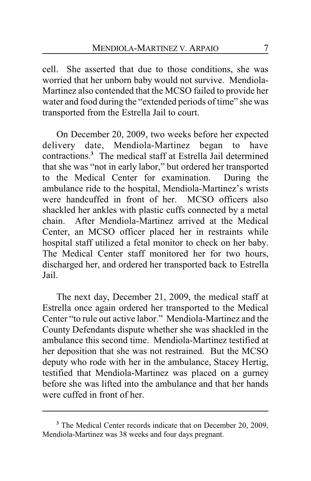cell. She asserted that due to those conditions, she was worried that her unborn baby would not survive. Mendiola-Martinez also contended that the MCSO failed to provide her water and food during the "extended periods of time" she was transported from the Estrella Jail to court.

On December 20, 2009, two weeks before her expected delivery date, Mendiola-Martinez began to have contractions.**<sup>3</sup>** The medical staff at Estrella Jail determined that she was "not in early labor," but ordered her transported to the Medical Center for examination. During the ambulance ride to the hospital, Mendiola-Martinez's wrists were handcuffed in front of her. MCSO officers also shackled her ankles with plastic cuffs connected by a metal chain. After Mendiola-Martinez arrived at the Medical Center, an MCSO officer placed her in restraints while hospital staff utilized a fetal monitor to check on her baby. The Medical Center staff monitored her for two hours, discharged her, and ordered her transported back to Estrella Jail.

The next day, December 21, 2009, the medical staff at Estrella once again ordered her transported to the Medical Center "to rule out active labor." Mendiola-Martinez and the County Defendants dispute whether she was shackled in the ambulance this second time. Mendiola-Martinez testified at her deposition that she was not restrained. But the MCSO deputy who rode with her in the ambulance, Stacey Hertig, testified that Mendiola-Martinez was placed on a gurney before she was lifted into the ambulance and that her hands were cuffed in front of her.

**<sup>3</sup>** The Medical Center records indicate that on December 20, 2009, Mendiola-Martinez was 38 weeks and four days pregnant.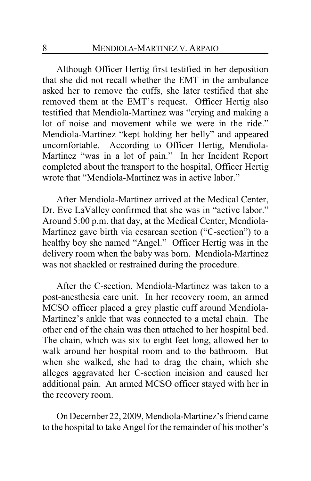Although Officer Hertig first testified in her deposition that she did not recall whether the EMT in the ambulance asked her to remove the cuffs, she later testified that she removed them at the EMT's request. Officer Hertig also testified that Mendiola-Martinez was "crying and making a lot of noise and movement while we were in the ride." Mendiola-Martinez "kept holding her belly" and appeared uncomfortable. According to Officer Hertig, Mendiola-Martinez "was in a lot of pain." In her Incident Report completed about the transport to the hospital, Officer Hertig wrote that "Mendiola-Martinez was in active labor."

After Mendiola-Martinez arrived at the Medical Center, Dr. Eve LaValley confirmed that she was in "active labor." Around 5:00 p.m. that day, at the Medical Center, Mendiola-Martinez gave birth via cesarean section ("C-section") to a healthy boy she named "Angel." Officer Hertig was in the delivery room when the baby was born. Mendiola-Martinez was not shackled or restrained during the procedure.

After the C-section, Mendiola-Martinez was taken to a post-anesthesia care unit. In her recovery room, an armed MCSO officer placed a grey plastic cuff around Mendiola-Martinez's ankle that was connected to a metal chain. The other end of the chain was then attached to her hospital bed. The chain, which was six to eight feet long, allowed her to walk around her hospital room and to the bathroom. But when she walked, she had to drag the chain, which she alleges aggravated her C-section incision and caused her additional pain. An armed MCSO officer stayed with her in the recovery room.

On December 22, 2009, Mendiola-Martinez's friend came to the hospital to take Angel for the remainder of his mother's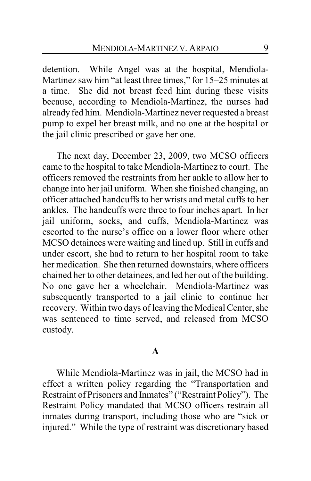detention. While Angel was at the hospital, Mendiola-Martinez saw him "at least three times," for 15–25 minutes at a time. She did not breast feed him during these visits because, according to Mendiola-Martinez, the nurses had already fed him. Mendiola-Martinez never requested a breast pump to expel her breast milk, and no one at the hospital or the jail clinic prescribed or gave her one.

The next day, December 23, 2009, two MCSO officers came to the hospital to take Mendiola-Martinez to court. The officers removed the restraints from her ankle to allow her to change into her jail uniform. When she finished changing, an officer attached handcuffs to her wrists and metal cuffs to her ankles. The handcuffs were three to four inches apart. In her jail uniform, socks, and cuffs, Mendiola-Martinez was escorted to the nurse's office on a lower floor where other MCSO detainees were waiting and lined up. Still in cuffs and under escort, she had to return to her hospital room to take her medication. She then returned downstairs, where officers chained her to other detainees, and led her out of the building. No one gave her a wheelchair. Mendiola-Martinez was subsequently transported to a jail clinic to continue her recovery. Within two days of leaving the Medical Center, she was sentenced to time served, and released from MCSO custody.

#### **A**

While Mendiola-Martinez was in jail, the MCSO had in effect a written policy regarding the "Transportation and Restraint of Prisoners and Inmates" ("Restraint Policy"). The Restraint Policy mandated that MCSO officers restrain all inmates during transport, including those who are "sick or injured." While the type of restraint was discretionary based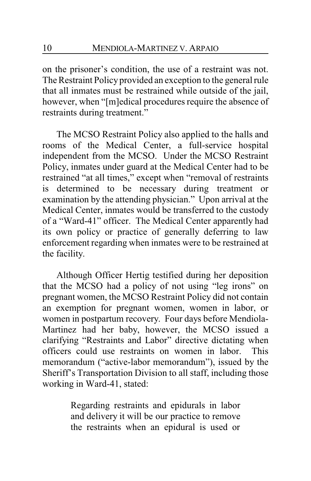on the prisoner's condition, the use of a restraint was not. The Restraint Policy provided an exception to the general rule that all inmates must be restrained while outside of the jail, however, when "[m]edical procedures require the absence of restraints during treatment."

The MCSO Restraint Policy also applied to the halls and rooms of the Medical Center, a full-service hospital independent from the MCSO. Under the MCSO Restraint Policy, inmates under guard at the Medical Center had to be restrained "at all times," except when "removal of restraints is determined to be necessary during treatment or examination by the attending physician." Upon arrival at the Medical Center, inmates would be transferred to the custody of a "Ward-41" officer. The Medical Center apparently had its own policy or practice of generally deferring to law enforcement regarding when inmates were to be restrained at the facility.

Although Officer Hertig testified during her deposition that the MCSO had a policy of not using "leg irons" on pregnant women, the MCSO Restraint Policy did not contain an exemption for pregnant women, women in labor, or women in postpartum recovery. Four days before Mendiola-Martinez had her baby, however, the MCSO issued a clarifying "Restraints and Labor" directive dictating when officers could use restraints on women in labor. This memorandum ("active-labor memorandum"), issued by the Sheriff's Transportation Division to all staff, including those working in Ward-41, stated:

> Regarding restraints and epidurals in labor and delivery it will be our practice to remove the restraints when an epidural is used or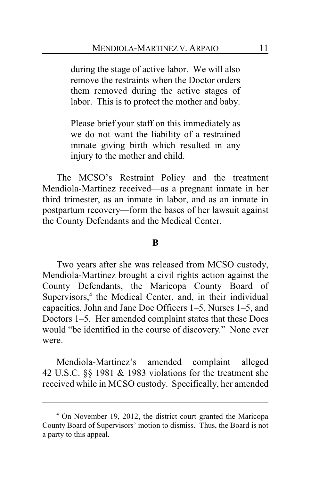during the stage of active labor. We will also remove the restraints when the Doctor orders them removed during the active stages of labor. This is to protect the mother and baby.

Please brief your staff on this immediately as we do not want the liability of a restrained inmate giving birth which resulted in any injury to the mother and child.

The MCSO's Restraint Policy and the treatment Mendiola-Martinez received—as a pregnant inmate in her third trimester, as an inmate in labor, and as an inmate in postpartum recovery—form the bases of her lawsuit against the County Defendants and the Medical Center.

#### **B**

Two years after she was released from MCSO custody, Mendiola-Martinez brought a civil rights action against the County Defendants, the Maricopa County Board of Supervisors,<sup>4</sup> the Medical Center, and, in their individual capacities, John and Jane Doe Officers 1–5, Nurses 1–5, and Doctors 1–5. Her amended complaint states that these Does would "be identified in the course of discovery." None ever were.

Mendiola-Martinez's amended complaint alleged 42 U.S.C. §§ 1981 & 1983 violations for the treatment she received while in MCSO custody. Specifically, her amended

**<sup>4</sup>** On November 19, 2012, the district court granted the Maricopa County Board of Supervisors' motion to dismiss. Thus, the Board is not a party to this appeal.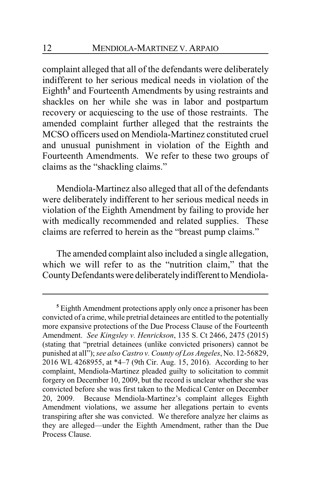complaint alleged that all of the defendants were deliberately indifferent to her serious medical needs in violation of the Eighth<sup>5</sup> and Fourteenth Amendments by using restraints and shackles on her while she was in labor and postpartum recovery or acquiescing to the use of those restraints. The amended complaint further alleged that the restraints the MCSO officers used on Mendiola-Martinez constituted cruel and unusual punishment in violation of the Eighth and Fourteenth Amendments. We refer to these two groups of claims as the "shackling claims."

Mendiola-Martinez also alleged that all of the defendants were deliberately indifferent to her serious medical needs in violation of the Eighth Amendment by failing to provide her with medically recommended and related supplies. These claims are referred to herein as the "breast pump claims."

The amended complaint also included a single allegation, which we will refer to as the "nutrition claim," that the County Defendants were deliberately indifferent to Mendiola-

**<sup>5</sup>** Eighth Amendment protections apply only once a prisoner has been convicted of a crime, while pretrial detainees are entitled to the potentially more expansive protections of the Due Process Clause of the Fourteenth Amendment. *See Kingsley v. Henrickson*, 135 S. Ct 2466, 2475 (2015) (stating that "pretrial detainees (unlike convicted prisoners) cannot be punished at all"); *see also Castro v. County of Los Angeles*, No. 12-56829, 2016 WL 4268955, at \*4–7 (9th Cir. Aug. 15, 2016). According to her complaint, Mendiola-Martinez pleaded guilty to solicitation to commit forgery on December 10, 2009, but the record is unclear whether she was convicted before she was first taken to the Medical Center on December 20, 2009. Because Mendiola-Martinez's complaint alleges Eighth Amendment violations, we assume her allegations pertain to events transpiring after she was convicted. We therefore analyze her claims as they are alleged—under the Eighth Amendment, rather than the Due Process Clause.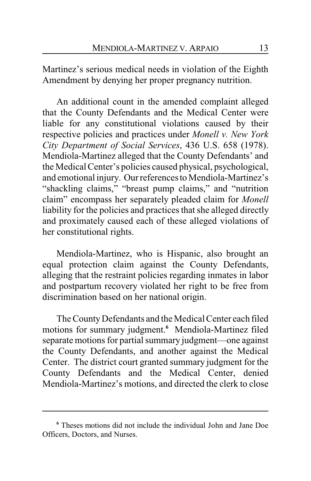Martinez's serious medical needs in violation of the Eighth Amendment by denying her proper pregnancy nutrition.

An additional count in the amended complaint alleged that the County Defendants and the Medical Center were liable for any constitutional violations caused by their respective policies and practices under *Monell v. New York City Department of Social Services*, 436 U.S. 658 (1978). Mendiola-Martinez alleged that the County Defendants' and the Medical Center's policies caused physical, psychological, and emotional injury. Our references to Mendiola-Martinez's "shackling claims," "breast pump claims," and "nutrition claim" encompass her separately pleaded claim for *Monell* liability for the policies and practices that she alleged directly and proximately caused each of these alleged violations of her constitutional rights.

Mendiola-Martinez, who is Hispanic, also brought an equal protection claim against the County Defendants, alleging that the restraint policies regarding inmates in labor and postpartum recovery violated her right to be free from discrimination based on her national origin.

The CountyDefendants and the Medical Center each filed motions for summary judgment.**<sup>6</sup>** Mendiola-Martinez filed separate motions for partial summary judgment—one against the County Defendants, and another against the Medical Center. The district court granted summary judgment for the County Defendants and the Medical Center, denied Mendiola-Martinez's motions, and directed the clerk to close

**<sup>6</sup>** Theses motions did not include the individual John and Jane Doe Officers, Doctors, and Nurses.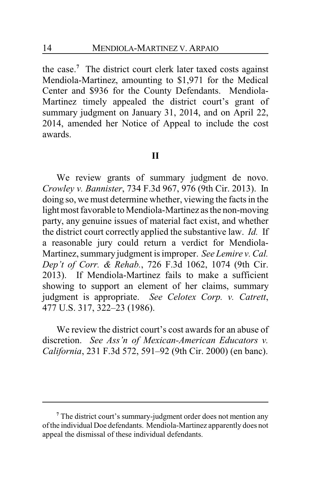the case. **<sup>7</sup>** The district court clerk later taxed costs against Mendiola-Martinez, amounting to \$1,971 for the Medical Center and \$936 for the County Defendants. Mendiola-Martinez timely appealed the district court's grant of summary judgment on January 31, 2014, and on April 22, 2014, amended her Notice of Appeal to include the cost awards.

#### **II**

We review grants of summary judgment de novo. *Crowley v. Bannister*, 734 F.3d 967, 976 (9th Cir. 2013). In doing so, we must determine whether, viewing the facts in the light most favorable to Mendiola-Martinez as the non-moving party, any genuine issues of material fact exist, and whether the district court correctly applied the substantive law. *Id.* If a reasonable jury could return a verdict for Mendiola-Martinez, summary judgment is improper. *See Lemire v. Cal. Dep't of Corr. & Rehab.*, 726 F.3d 1062, 1074 (9th Cir. 2013). If Mendiola-Martinez fails to make a sufficient showing to support an element of her claims, summary judgment is appropriate. *See Celotex Corp. v. Catrett*, 477 U.S. 317, 322–23 (1986).

We review the district court's cost awards for an abuse of discretion. *See Ass'n of Mexican-American Educators v. California*, 231 F.3d 572, 591–92 (9th Cir. 2000) (en banc).

**<sup>7</sup>** The district court's summary-judgment order does not mention any ofthe individual Doe defendants. Mendiola-Martinez apparently does not appeal the dismissal of these individual defendants.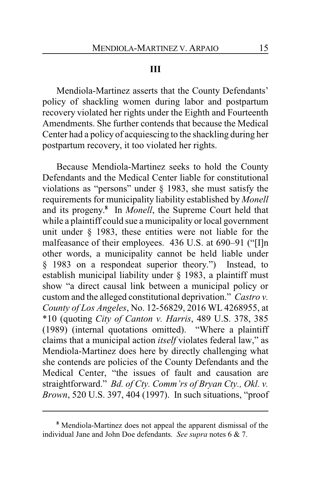#### **III**

Mendiola-Martinez asserts that the County Defendants' policy of shackling women during labor and postpartum recovery violated her rights under the Eighth and Fourteenth Amendments. She further contends that because the Medical Center had a policy of acquiescing to the shackling during her postpartum recovery, it too violated her rights.

Because Mendiola-Martinez seeks to hold the County Defendants and the Medical Center liable for constitutional violations as "persons" under § 1983, she must satisfy the requirements for municipality liability established by *Monell* and its progeny. **8** In *Monell*, the Supreme Court held that while a plaintiff could sue a municipality or local government unit under § 1983, these entities were not liable for the malfeasance of their employees. 436 U.S. at 690–91 ("[I]n other words, a municipality cannot be held liable under § 1983 on a respondeat superior theory.") Instead, to establish municipal liability under § 1983, a plaintiff must show "a direct causal link between a municipal policy or custom and the alleged constitutional deprivation." *Castro v. County of Los Angeles*, No. 12-56829, 2016 WL 4268955, at \*10 (quoting *City of Canton v. Harris*, 489 U.S. 378, 385 (1989) (internal quotations omitted). "Where a plaintiff claims that a municipal action *itself* violates federal law," as Mendiola-Martinez does here by directly challenging what she contends are policies of the County Defendants and the Medical Center, "the issues of fault and causation are straightforward." *Bd. of Cty. Comm'rs of Bryan Cty., Okl. v. Brown*, 520 U.S. 397, 404 (1997). In such situations, "proof

**<sup>8</sup>** Mendiola-Martinez does not appeal the apparent dismissal of the individual Jane and John Doe defendants. *See supra* notes 6 & 7.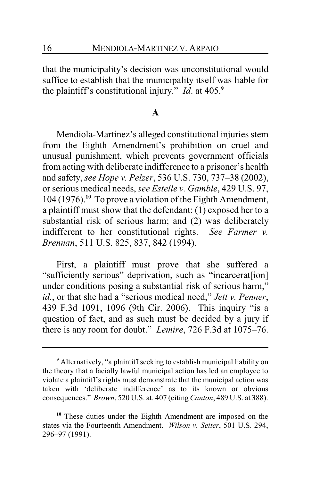that the municipality's decision was unconstitutional would suffice to establish that the municipality itself was liable for the plaintiff's constitutional injury." *Id*. at 405.**<sup>9</sup>**

#### **A**

Mendiola-Martinez's alleged constitutional injuries stem from the Eighth Amendment's prohibition on cruel and unusual punishment, which prevents government officials from acting with deliberate indifference to a prisoner's health and safety, *see Hope v. Pelzer*, 536 U.S. 730, 737–38 (2002), or serious medical needs, *see Estelle v. Gamble*, 429 U.S. 97, 104 (1976).**<sup>10</sup>** To prove a violation of the Eighth Amendment, a plaintiff must show that the defendant: (1) exposed her to a substantial risk of serious harm; and (2) was deliberately indifferent to her constitutional rights. *See Farmer v. Brennan*, 511 U.S. 825, 837, 842 (1994).

First, a plaintiff must prove that she suffered a "sufficiently serious" deprivation, such as "incarcerat[ion] under conditions posing a substantial risk of serious harm," *id.*, or that she had a "serious medical need," *Jett v. Penner*, 439 F.3d 1091, 1096 (9th Cir. 2006). This inquiry "is a question of fact, and as such must be decided by a jury if there is any room for doubt." *Lemire*, 726 F.3d at 1075–76.

**<sup>9</sup>** Alternatively, "a plaintiff seeking to establish municipal liability on the theory that a facially lawful municipal action has led an employee to violate a plaintiff's rights must demonstrate that the municipal action was taken with 'deliberate indifference' as to its known or obvious consequences." *Brown*, 520 U.S. at*.* 407 (citing*Canton*, 489 U.S. at 388).

**<sup>10</sup>** These duties under the Eighth Amendment are imposed on the states via the Fourteenth Amendment. *Wilson v. Seiter*, 501 U.S. 294, 296–97 (1991).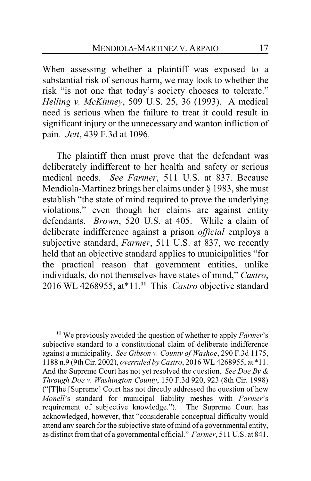When assessing whether a plaintiff was exposed to a substantial risk of serious harm, we may look to whether the risk "is not one that today's society chooses to tolerate." *Helling v. McKinney*, 509 U.S. 25, 36 (1993). A medical need is serious when the failure to treat it could result in significant injury or the unnecessary and wanton infliction of pain. *Jett*, 439 F.3d at 1096.

The plaintiff then must prove that the defendant was deliberately indifferent to her health and safety or serious medical needs. *See Farmer*, 511 U.S. at 837. Because Mendiola-Martinez brings her claims under § 1983, she must establish "the state of mind required to prove the underlying violations," even though her claims are against entity defendants. *Brown*, 520 U.S. at 405. While a claim of deliberate indifference against a prison *official* employs a subjective standard, *Farmer*, 511 U.S. at 837, we recently held that an objective standard applies to municipalities "for the practical reason that government entities, unlike individuals, do not themselves have states of mind," *Castro*, 2016 WL 4268955, at\*11.**<sup>11</sup>** This *Castro* objective standard

**<sup>11</sup>** We previously avoided the question of whether to apply *Farmer*'s subjective standard to a constitutional claim of deliberate indifference against a municipality. *See Gibson v. County of Washoe*, 290 F.3d 1175, 1188 n.9 (9th Cir. 2002), *overruled by Castro*, 2016 WL 4268955, at \*11. And the Supreme Court has not yet resolved the question. *See Doe By & Through Doe v. Washington County*, 150 F.3d 920, 923 (8th Cir. 1998) ("[T]he [Supreme] Court has not directly addressed the question of how *Monell*'s standard for municipal liability meshes with *Farmer*'s requirement of subjective knowledge."). acknowledged, however, that "considerable conceptual difficulty would attend any search for the subjective state of mind of a governmental entity, as distinct fromthat of a governmental official." *Farmer*, 511 U.S. at 841.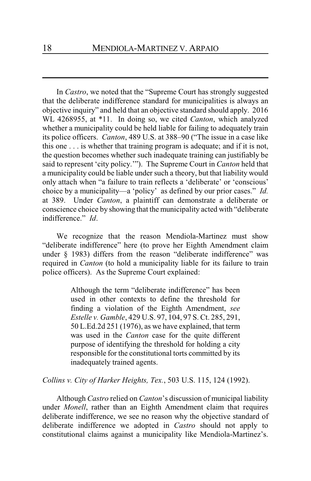In *Castro*, we noted that the "Supreme Court has strongly suggested that the deliberate indifference standard for municipalities is always an objective inquiry" and held that an objective standard should apply. 2016 WL 4268955, at \*11. In doing so, we cited *Canton*, which analyzed whether a municipality could be held liable for failing to adequately train its police officers. *Canton*, 489 U.S. at 388–90 ("The issue in a case like this one . . . is whether that training program is adequate; and if it is not, the question becomes whether such inadequate training can justifiably be said to represent 'city policy.'"). The Supreme Court in *Canton* held that a municipality could be liable under such a theory, but that liability would only attach when "a failure to train reflects a 'deliberate' or 'conscious' choice by a municipality—a 'policy' as defined by our prior cases." *Id.* at 389. Under *Canton*, a plaintiff can demonstrate a deliberate or conscience choice by showing that the municipality acted with "deliberate indifference." *Id*.

We recognize that the reason Mendiola-Martinez must show "deliberate indifference" here (to prove her Eighth Amendment claim under § 1983) differs from the reason "deliberate indifference" was required in *Canton* (to hold a municipality liable for its failure to train police officers). As the Supreme Court explained:

> Although the term "deliberate indifference" has been used in other contexts to define the threshold for finding a violation of the Eighth Amendment, *see Estelle v. Gamble*, 429 U.S. 97, 104, 97 S. Ct. 285, 291, 50 L.Ed.2d 251 (1976), as we have explained, that term was used in the *Canton* case for the quite different purpose of identifying the threshold for holding a city responsible for the constitutional torts committed by its inadequately trained agents.

*Collins v. City of Harker Heights, Tex.*, 503 U.S. 115, 124 (1992).

Although *Castro* relied on *Canton*'s discussion of municipal liability under *Monell*, rather than an Eighth Amendment claim that requires deliberate indifference, we see no reason why the objective standard of deliberate indifference we adopted in *Castro* should not apply to constitutional claims against a municipality like Mendiola-Martinez's.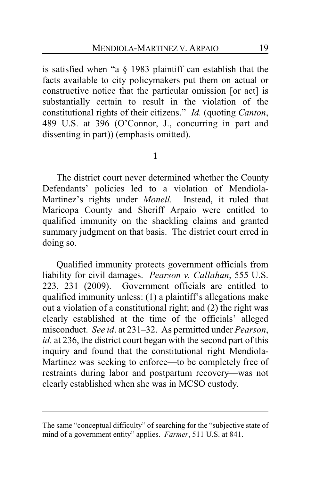is satisfied when "a § 1983 plaintiff can establish that the facts available to city policymakers put them on actual or constructive notice that the particular omission [or act] is substantially certain to result in the violation of the constitutional rights of their citizens." *Id.* (quoting *Canton*, 489 U.S. at 396 (O'Connor, J., concurring in part and dissenting in part)) (emphasis omitted).

#### **1**

The district court never determined whether the County Defendants' policies led to a violation of Mendiola-Martinez's rights under *Monell.* Instead, it ruled that Maricopa County and Sheriff Arpaio were entitled to qualified immunity on the shackling claims and granted summary judgment on that basis. The district court erred in doing so.

Qualified immunity protects government officials from liability for civil damages. *Pearson v. Callahan*, 555 U.S. 223, 231 (2009). Government officials are entitled to qualified immunity unless: (1) a plaintiff's allegations make out a violation of a constitutional right; and (2) the right was clearly established at the time of the officials' alleged misconduct. *See id*. at 231–32. As permitted under *Pearson*, *id.* at 236, the district court began with the second part of this inquiry and found that the constitutional right Mendiola-Martinez was seeking to enforce—to be completely free of restraints during labor and postpartum recovery—was not clearly established when she was in MCSO custody.

The same "conceptual difficulty" of searching for the "subjective state of mind of a government entity" applies. *Farmer*, 511 U.S. at 841.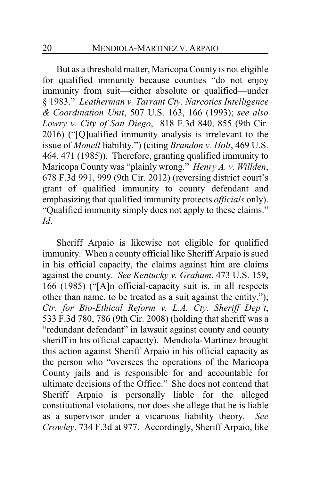But as a threshold matter, Maricopa County is not eligible for qualified immunity because counties "do not enjoy immunity from suit—either absolute or qualified—under § 1983." *Leatherman v. Tarrant Cty. Narcotics Intelligence & Coordination Unit*, 507 U.S. 163, 166 (1993); *see also Lowry v. City of San Diego*, 818 F.3d 840, 855 (9th Cir. 2016) ("[Q]ualified immunity analysis is irrelevant to the issue of *Monell* liability.") (citing *Brandon v. Holt*, 469 U.S. 464, 471 (1985)). Therefore, granting qualified immunity to Maricopa County was "plainly wrong." *Henry A. v. Willden*, 678 F.3d 991, 999 (9th Cir. 2012) (reversing district court's grant of qualified immunity to county defendant and emphasizing that qualified immunity protects *officials* only). "Qualified immunity simply does not apply to these claims." *Id*.

Sheriff Arpaio is likewise not eligible for qualified immunity. When a county official like Sheriff Arpaio is sued in his official capacity, the claims against him are claims against the county. *See Kentucky v. Graham*, 473 U.S. 159, 166 (1985) ("[A]n official-capacity suit is, in all respects other than name, to be treated as a suit against the entity."); *Ctr. for Bio-Ethical Reform v. L.A. Cty. Sheriff Dep't*, 533 F.3d 780, 786 (9th Cir. 2008) (holding that sheriff was a "redundant defendant" in lawsuit against county and county sheriff in his official capacity). Mendiola-Martinez brought this action against Sheriff Arpaio in his official capacity as the person who "oversees the operations of the Maricopa County jails and is responsible for and accountable for ultimate decisions of the Office." She does not contend that Sheriff Arpaio is personally liable for the alleged constitutional violations, nor does she allege that he is liable as a supervisor under a vicarious liability theory. *See Crowley*, 734 F.3d at 977. Accordingly, Sheriff Arpaio, like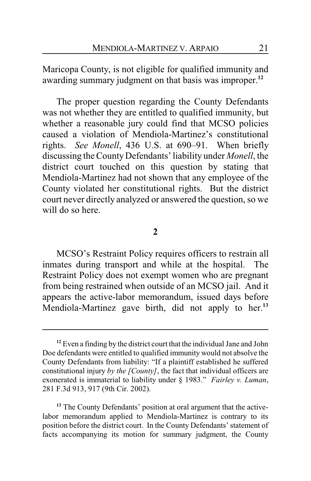Maricopa County, is not eligible for qualified immunity and awarding summary judgment on that basis was improper.**<sup>12</sup>**

The proper question regarding the County Defendants was not whether they are entitled to qualified immunity, but whether a reasonable jury could find that MCSO policies caused a violation of Mendiola-Martinez's constitutional rights. *See Monell*, 436 U.S. at 690–91. When briefly discussing the CountyDefendants' liability under *Monell*, the district court touched on this question by stating that Mendiola-Martinez had not shown that any employee of the County violated her constitutional rights. But the district court never directly analyzed or answered the question, so we will do so here.

#### **2**

MCSO's Restraint Policy requires officers to restrain all inmates during transport and while at the hospital. The Restraint Policy does not exempt women who are pregnant from being restrained when outside of an MCSO jail. And it appears the active-labor memorandum, issued days before Mendiola-Martinez gave birth, did not apply to her.**<sup>13</sup>**

**<sup>12</sup>** Even a finding by the district court that the individual Jane and John Doe defendants were entitled to qualified immunity would not absolve the County Defendants from liability: "If a plaintiff established he suffered constitutional injury *by the [County]*, the fact that individual officers are exonerated is immaterial to liability under § 1983." *Fairley v. Luman*, 281 F.3d 913, 917 (9th Cir. 2002).

<sup>&</sup>lt;sup>13</sup> The County Defendants' position at oral argument that the activelabor memorandum applied to Mendiola-Martinez is contrary to its position before the district court. In the County Defendants' statement of facts accompanying its motion for summary judgment, the County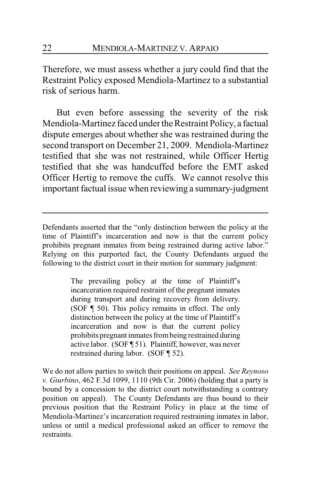Therefore, we must assess whether a jury could find that the Restraint Policy exposed Mendiola-Martinez to a substantial risk of serious harm.

But even before assessing the severity of the risk Mendiola-Martinez faced under the Restraint Policy, a factual dispute emerges about whether she was restrained during the second transport on December 21, 2009. Mendiola-Martinez testified that she was not restrained, while Officer Hertig testified that she was handcuffed before the EMT asked Officer Hertig to remove the cuffs. We cannot resolve this important factual issue when reviewing a summary-judgment

Defendants asserted that the "only distinction between the policy at the time of Plaintiff's incarceration and now is that the current policy prohibits pregnant inmates from being restrained during active labor." Relying on this purported fact, the County Defendants argued the following to the district court in their motion for summary judgment:

> The prevailing policy at the time of Plaintiff's incarceration required restraint of the pregnant inmates during transport and during recovery from delivery. (SOF ¶ 50). This policy remains in effect. The only distinction between the policy at the time of Plaintiff's incarceration and now is that the current policy prohibits pregnant inmates frombeing restrained during active labor. (SOF ¶ 51). Plaintiff, however, was never restrained during labor. (SOF ¶ 52).

We do not allow parties to switch their positions on appeal. *See Reynoso v. Giurbino*, 462 F.3d 1099, 1110 (9th Cir. 2006) (holding that a party is bound by a concession to the district court notwithstanding a contrary position on appeal). The County Defendants are thus bound to their previous position that the Restraint Policy in place at the time of Mendiola-Martinez's incarceration required restraining inmates in labor, unless or until a medical professional asked an officer to remove the restraints.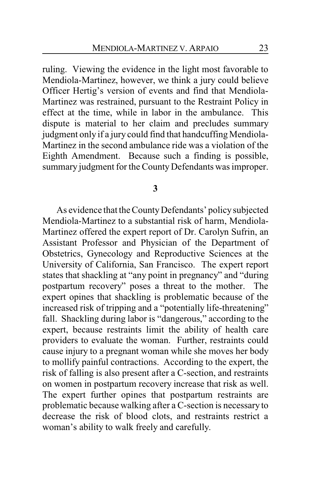ruling. Viewing the evidence in the light most favorable to Mendiola-Martinez, however, we think a jury could believe Officer Hertig's version of events and find that Mendiola-Martinez was restrained, pursuant to the Restraint Policy in effect at the time, while in labor in the ambulance. This dispute is material to her claim and precludes summary judgment only if a jury could find that handcuffing Mendiola-Martinez in the second ambulance ride was a violation of the Eighth Amendment. Because such a finding is possible, summary judgment for the County Defendants was improper.

**3**

As evidence that the CountyDefendants' policy subjected Mendiola-Martinez to a substantial risk of harm, Mendiola-Martinez offered the expert report of Dr. Carolyn Sufrin, an Assistant Professor and Physician of the Department of Obstetrics, Gynecology and Reproductive Sciences at the University of California, San Francisco. The expert report states that shackling at "any point in pregnancy" and "during postpartum recovery" poses a threat to the mother. The expert opines that shackling is problematic because of the increased risk of tripping and a "potentially life-threatening" fall. Shackling during labor is "dangerous," according to the expert, because restraints limit the ability of health care providers to evaluate the woman. Further, restraints could cause injury to a pregnant woman while she moves her body to mollify painful contractions. According to the expert, the risk of falling is also present after a C-section, and restraints on women in postpartum recovery increase that risk as well. The expert further opines that postpartum restraints are problematic because walking after a C-section is necessary to decrease the risk of blood clots, and restraints restrict a woman's ability to walk freely and carefully.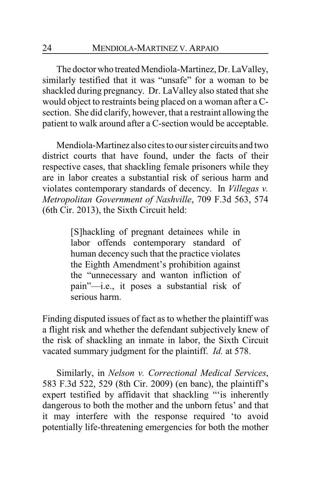The doctor who treated Mendiola-Martinez, Dr. LaValley, similarly testified that it was "unsafe" for a woman to be shackled during pregnancy. Dr. LaValley also stated that she would object to restraints being placed on a woman after a Csection. She did clarify, however, that a restraint allowing the patient to walk around after a C-section would be acceptable.

Mendiola-Martinez also cites to our sister circuits and two district courts that have found, under the facts of their respective cases, that shackling female prisoners while they are in labor creates a substantial risk of serious harm and violates contemporary standards of decency. In *Villegas v. Metropolitan Government of Nashville*, 709 F.3d 563, 574 (6th Cir. 2013), the Sixth Circuit held:

> [S]hackling of pregnant detainees while in labor offends contemporary standard of human decency such that the practice violates the Eighth Amendment's prohibition against the "unnecessary and wanton infliction of pain"—i.e., it poses a substantial risk of serious harm.

Finding disputed issues of fact as to whether the plaintiff was a flight risk and whether the defendant subjectively knew of the risk of shackling an inmate in labor, the Sixth Circuit vacated summary judgment for the plaintiff. *Id.* at 578.

Similarly, in *Nelson v. Correctional Medical Services*, 583 F.3d 522, 529 (8th Cir. 2009) (en banc), the plaintiff's expert testified by affidavit that shackling "'is inherently dangerous to both the mother and the unborn fetus' and that it may interfere with the response required 'to avoid potentially life-threatening emergencies for both the mother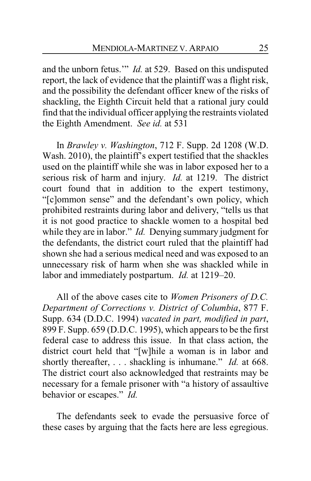and the unborn fetus.'" *Id.* at 529. Based on this undisputed report, the lack of evidence that the plaintiff was a flight risk, and the possibility the defendant officer knew of the risks of shackling, the Eighth Circuit held that a rational jury could find that the individual officer applying the restraints violated the Eighth Amendment. *See id.* at 531

In *Brawley v. Washington*, 712 F. Supp. 2d 1208 (W.D. Wash. 2010), the plaintiff's expert testified that the shackles used on the plaintiff while she was in labor exposed her to a serious risk of harm and injury. *Id.* at 1219. The district court found that in addition to the expert testimony, "[c]ommon sense" and the defendant's own policy, which prohibited restraints during labor and delivery, "tells us that it is not good practice to shackle women to a hospital bed while they are in labor." *Id.* Denying summary judgment for the defendants, the district court ruled that the plaintiff had shown she had a serious medical need and was exposed to an unnecessary risk of harm when she was shackled while in labor and immediately postpartum. *Id.* at 1219–20.

All of the above cases cite to *Women Prisoners of D.C. Department of Corrections v. District of Columbia*, 877 F. Supp. 634 (D.D.C. 1994) *vacated in part, modified in part*, 899 F. Supp. 659 (D.D.C. 1995), which appears to be the first federal case to address this issue. In that class action, the district court held that "[w]hile a woman is in labor and shortly thereafter, . . . shackling is inhumane." *Id.* at 668. The district court also acknowledged that restraints may be necessary for a female prisoner with "a history of assaultive behavior or escapes." *Id.*

The defendants seek to evade the persuasive force of these cases by arguing that the facts here are less egregious.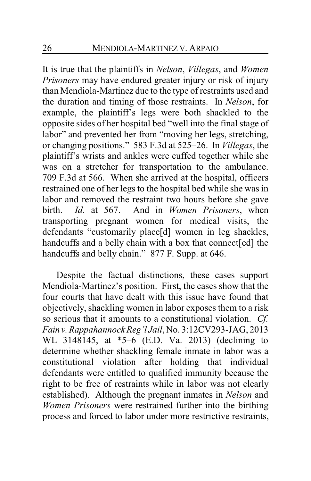It is true that the plaintiffs in *Nelson*, *Villegas*, and *Women Prisoners* may have endured greater injury or risk of injury than Mendiola-Martinez due to the type of restraints used and the duration and timing of those restraints. In *Nelson*, for example, the plaintiff's legs were both shackled to the opposite sides of her hospital bed "well into the final stage of labor" and prevented her from "moving her legs, stretching, or changing positions." 583 F.3d at 525–26. In *Villegas*, the plaintiff's wrists and ankles were cuffed together while she was on a stretcher for transportation to the ambulance. 709 F.3d at 566. When she arrived at the hospital, officers restrained one of her legs to the hospital bed while she was in labor and removed the restraint two hours before she gave birth. *Id.* at 567. And in *Women Prisoners*, when transporting pregnant women for medical visits, the defendants "customarily place[d] women in leg shackles, handcuffs and a belly chain with a box that connect[ed] the handcuffs and belly chain." 877 F. Supp. at 646.

Despite the factual distinctions, these cases support Mendiola-Martinez's position. First, the cases show that the four courts that have dealt with this issue have found that objectively, shackling women in labor exposes them to a risk so serious that it amounts to a constitutional violation. *Cf. Fain v.Rappahannock Reg'l Jail*, No. 3:12CV293-JAG, 2013 WL 3148145, at \*5–6 (E.D. Va. 2013) (declining to determine whether shackling female inmate in labor was a constitutional violation after holding that individual defendants were entitled to qualified immunity because the right to be free of restraints while in labor was not clearly established). Although the pregnant inmates in *Nelson* and *Women Prisoners* were restrained further into the birthing process and forced to labor under more restrictive restraints,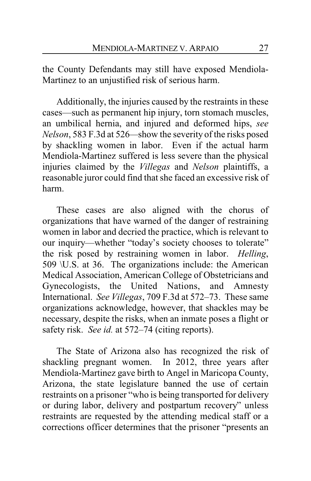the County Defendants may still have exposed Mendiola-Martinez to an unjustified risk of serious harm.

Additionally, the injuries caused by the restraints in these cases—such as permanent hip injury, torn stomach muscles, an umbilical hernia, and injured and deformed hips, *see Nelson*, 583 F.3d at 526*—*show the severity of the risks posed by shackling women in labor. Even if the actual harm Mendiola-Martinez suffered is less severe than the physical injuries claimed by the *Villegas* and *Nelson* plaintiffs, a reasonable juror could find that she faced an excessive risk of harm.

These cases are also aligned with the chorus of organizations that have warned of the danger of restraining women in labor and decried the practice, which is relevant to our inquiry—whether "today's society chooses to tolerate" the risk posed by restraining women in labor. *Helling*, 509 \U.S. at 36. The organizations include: the American Medical Association, American College of Obstetricians and Gynecologists, the United Nations, and Amnesty International. *See Villegas*, 709 F.3d at 572–73. These same organizations acknowledge, however, that shackles may be necessary, despite the risks, when an inmate poses a flight or safety risk. *See id.* at 572–74 (citing reports).

The State of Arizona also has recognized the risk of shackling pregnant women. In 2012, three years after Mendiola-Martinez gave birth to Angel in Maricopa County, Arizona, the state legislature banned the use of certain restraints on a prisoner "who is being transported for delivery or during labor, delivery and postpartum recovery" unless restraints are requested by the attending medical staff or a corrections officer determines that the prisoner "presents an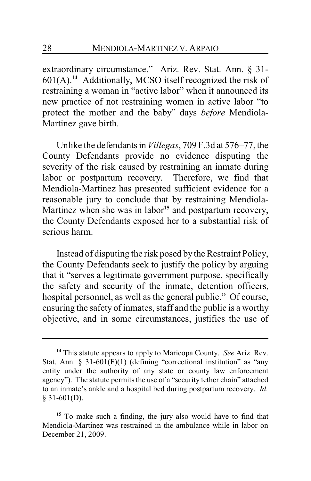extraordinary circumstance." Ariz. Rev. Stat. Ann. § 31- 601(A).**<sup>14</sup>** Additionally, MCSO itself recognized the risk of restraining a woman in "active labor" when it announced its new practice of not restraining women in active labor "to protect the mother and the baby" days *before* Mendiola-Martinez gave birth.

Unlike the defendants in *Villegas*, 709 F.3d at 576–77, the County Defendants provide no evidence disputing the severity of the risk caused by restraining an inmate during labor or postpartum recovery. Therefore, we find that Mendiola-Martinez has presented sufficient evidence for a reasonable jury to conclude that by restraining Mendiola-Martinez when she was in labor**<sup>15</sup>** and postpartum recovery, the County Defendants exposed her to a substantial risk of serious harm.

Instead of disputing the risk posed by the Restraint Policy, the County Defendants seek to justify the policy by arguing that it "serves a legitimate government purpose, specifically the safety and security of the inmate, detention officers, hospital personnel, as well as the general public." Of course, ensuring the safety of inmates, staff and the public is a worthy objective, and in some circumstances, justifies the use of

**<sup>14</sup>** This statute appears to apply to Maricopa County. *See* Ariz. Rev. Stat. Ann. § 31-60 $1(F)(1)$  (defining "correctional institution" as "any entity under the authority of any state or county law enforcement agency"). The statute permits the use of a "security tether chain" attached to an inmate's ankle and a hospital bed during postpartum recovery. *Id.*  $§$  31-601(D).

**<sup>15</sup>** To make such a finding, the jury also would have to find that Mendiola-Martinez was restrained in the ambulance while in labor on December 21, 2009.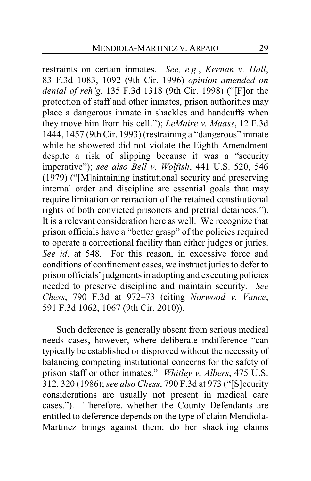restraints on certain inmates. *See, e.g.*, *Keenan v. Hall*, 83 F.3d 1083, 1092 (9th Cir. 1996) *opinion amended on denial of reh'g*, 135 F.3d 1318 (9th Cir. 1998) ("[F]or the protection of staff and other inmates, prison authorities may place a dangerous inmate in shackles and handcuffs when they move him from his cell."); *LeMaire v. Maass*, 12 F.3d 1444, 1457 (9th Cir. 1993) (restraining a "dangerous" inmate while he showered did not violate the Eighth Amendment despite a risk of slipping because it was a "security imperative"); *see also Bell v. Wolfish*, 441 U.S. 520, 546 (1979) ("[M]aintaining institutional security and preserving internal order and discipline are essential goals that may require limitation or retraction of the retained constitutional rights of both convicted prisoners and pretrial detainees."). It is a relevant consideration here as well. We recognize that prison officials have a "better grasp" of the policies required to operate a correctional facility than either judges or juries. *See id.* at 548. For this reason, in excessive force and conditions of confinement cases, we instruct juries to defer to prison officials' judgments in adopting and executing policies needed to preserve discipline and maintain security. *See Chess*, 790 F.3d at 972–73 (citing *Norwood v. Vance*, 591 F.3d 1062, 1067 (9th Cir. 2010)).

Such deference is generally absent from serious medical needs cases, however, where deliberate indifference "can typically be established or disproved without the necessity of balancing competing institutional concerns for the safety of prison staff or other inmates." *Whitley v. Albers*, 475 U.S. 312, 320 (1986); *see also Chess*, 790 F.3d at 973 ("[S]ecurity considerations are usually not present in medical care cases."). Therefore, whether the County Defendants are entitled to deference depends on the type of claim Mendiola-Martinez brings against them: do her shackling claims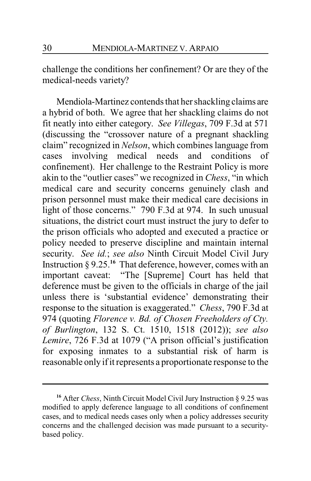challenge the conditions her confinement? Or are they of the medical-needs variety?

Mendiola-Martinez contends that her shackling claims are a hybrid of both. We agree that her shackling claims do not fit neatly into either category. *See Villegas*, 709 F.3d at 571 (discussing the "crossover nature of a pregnant shackling claim" recognized in *Nelson*, which combines language from cases involving medical needs and conditions of confinement). Her challenge to the Restraint Policy is more akin to the "outlier cases" we recognized in *Chess*, "in which medical care and security concerns genuinely clash and prison personnel must make their medical care decisions in light of those concerns." 790 F.3d at 974. In such unusual situations, the district court must instruct the jury to defer to the prison officials who adopted and executed a practice or policy needed to preserve discipline and maintain internal security. *See id.*; *see also* Ninth Circuit Model Civil Jury Instruction § 9.25.**<sup>16</sup>** That deference, however, comes with an important caveat: "The [Supreme] Court has held that deference must be given to the officials in charge of the jail unless there is 'substantial evidence' demonstrating their response to the situation is exaggerated." *Chess*, 790 F.3d at 974 (quoting *Florence v. Bd. of Chosen Freeholders of Cty. of Burlington*, 132 S. Ct. 1510, 1518 (2012)); *see also Lemire*, 726 F.3d at 1079 ("A prison official's justification for exposing inmates to a substantial risk of harm is reasonable only if it represents a proportionate response to the

**<sup>16</sup>** After *Chess*, Ninth Circuit Model Civil Jury Instruction § 9.25 was modified to apply deference language to all conditions of confinement cases, and to medical needs cases only when a policy addresses security concerns and the challenged decision was made pursuant to a securitybased policy.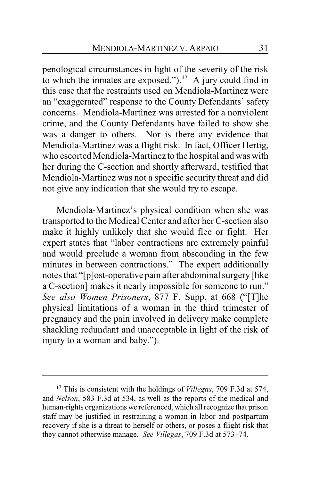penological circumstances in light of the severity of the risk to which the inmates are exposed."). **<sup>17</sup>** A jury could find in this case that the restraints used on Mendiola-Martinez were an "exaggerated" response to the County Defendants' safety concerns. Mendiola-Martinez was arrested for a nonviolent crime, and the County Defendants have failed to show she was a danger to others. Nor is there any evidence that Mendiola-Martinez was a flight risk. In fact, Officer Hertig, who escorted Mendiola-Martinez to the hospital and was with her during the C-section and shortly afterward, testified that Mendiola-Martinez was not a specific security threat and did not give any indication that she would try to escape.

Mendiola-Martinez's physical condition when she was transported to the Medical Center and after her C-section also make it highly unlikely that she would flee or fight. Her expert states that "labor contractions are extremely painful and would preclude a woman from absconding in the few minutes in between contractions." The expert additionally notes that "[p]ost-operative pain after abdominal surgery[like a C-section] makes it nearly impossible for someone to run." *See also Women Prisoners*, 877 F. Supp. at 668 ("[T]he physical limitations of a woman in the third trimester of pregnancy and the pain involved in delivery make complete shackling redundant and unacceptable in light of the risk of injury to a woman and baby.").

**<sup>17</sup>** This is consistent with the holdings of *Villegas*, 709 F.3d at 574, and *Nelson*, 583 F.3d at 534, as well as the reports of the medical and human-rights organizations we referenced, which all recognize that prison staff may be justified in restraining a woman in labor and postpartum recovery if she is a threat to herself or others, or poses a flight risk that they cannot otherwise manage. *See Villegas*, 709 F.3d at 573–74.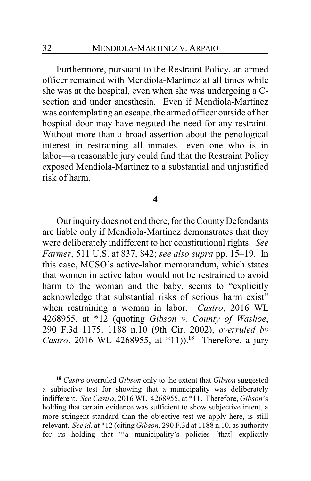Furthermore, pursuant to the Restraint Policy, an armed officer remained with Mendiola-Martinez at all times while she was at the hospital, even when she was undergoing a Csection and under anesthesia. Even if Mendiola-Martinez was contemplating an escape, the armed officer outside of her hospital door may have negated the need for any restraint. Without more than a broad assertion about the penological interest in restraining all inmates—even one who is in labor—a reasonable jury could find that the Restraint Policy exposed Mendiola-Martinez to a substantial and unjustified risk of harm.

#### **4**

Our inquiry does not end there, for the County Defendants are liable only if Mendiola-Martinez demonstrates that they were deliberately indifferent to her constitutional rights. *See Farmer*, 511 U.S. at 837, 842; *see also supra* pp. 15–19. In this case, MCSO's active-labor memorandum, which states that women in active labor would not be restrained to avoid harm to the woman and the baby, seems to "explicitly acknowledge that substantial risks of serious harm exist" when restraining a woman in labor. *Castro*, 2016 WL 4268955, at \*12 (quoting *Gibson v. County of Washoe*, 290 F.3d 1175, 1188 n.10 (9th Cir. 2002), *overruled by Castro*, 2016 WL 4268955, at \*11)).**<sup>18</sup>** Therefore, a jury

**<sup>18</sup>** *Castro* overruled *Gibson* only to the extent that *Gibson* suggested a subjective test for showing that a municipality was deliberately indifferent. *See Castro*, 2016 WL 4268955, at \*11. Therefore, *Gibson*'s holding that certain evidence was sufficient to show subjective intent, a more stringent standard than the objective test we apply here, is still relevant. *See id.* at \*12 (citing *Gibson*, 290 F.3d at 1188 n.10, as authority for its holding that ""a municipality's policies [that] explicitly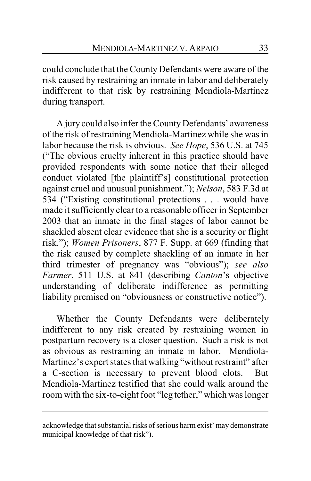could conclude that the County Defendants were aware of the risk caused by restraining an inmate in labor and deliberately indifferent to that risk by restraining Mendiola-Martinez during transport.

A jury could also infer the County Defendants' awareness of the risk of restraining Mendiola-Martinez while she was in labor because the risk is obvious. *See Hope*, 536 U.S. at 745 ("The obvious cruelty inherent in this practice should have provided respondents with some notice that their alleged conduct violated [the plaintiff's] constitutional protection against cruel and unusual punishment."); *Nelson*, 583 F.3d at 534 ("Existing constitutional protections . . . would have made it sufficiently clear to a reasonable officer in September 2003 that an inmate in the final stages of labor cannot be shackled absent clear evidence that she is a security or flight risk."); *Women Prisoners*, 877 F. Supp. at 669 (finding that the risk caused by complete shackling of an inmate in her third trimester of pregnancy was "obvious"); *see also Farmer*, 511 U.S. at 841 (describing *Canton*'s objective understanding of deliberate indifference as permitting liability premised on "obviousness or constructive notice").

Whether the County Defendants were deliberately indifferent to any risk created by restraining women in postpartum recovery is a closer question. Such a risk is not as obvious as restraining an inmate in labor. Mendiola-Martinez's expert states that walking "without restraint" after a C-section is necessary to prevent blood clots. But Mendiola-Martinez testified that she could walk around the room with the six-to-eight foot "leg tether," which was longer

acknowledge that substantial risks of serious harm exist' may demonstrate municipal knowledge of that risk").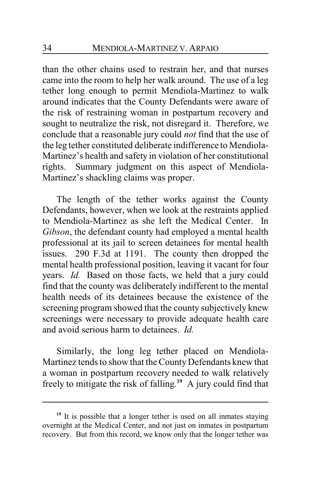than the other chains used to restrain her, and that nurses came into the room to help her walk around. The use of a leg tether long enough to permit Mendiola-Martinez to walk around indicates that the County Defendants were aware of the risk of restraining woman in postpartum recovery and sought to neutralize the risk, not disregard it. Therefore, we conclude that a reasonable jury could *not* find that the use of the leg tether constituted deliberate indifference to Mendiola-Martinez's health and safety in violation of her constitutional rights. Summary judgment on this aspect of Mendiola-Martinez's shackling claims was proper.

The length of the tether works against the County Defendants, however, when we look at the restraints applied to Mendiola-Martinez as she left the Medical Center. In *Gibson*, the defendant county had employed a mental health professional at its jail to screen detainees for mental health issues. 290 F.3d at 1191. The county then dropped the mental health professional position, leaving it vacant for four years. *Id.* Based on those facts, we held that a jury could find that the county was deliberately indifferent to the mental health needs of its detainees because the existence of the screening program showed that the county subjectively knew screenings were necessary to provide adequate health care and avoid serious harm to detainees. *Id.*

Similarly, the long leg tether placed on Mendiola-Martinez tends to show that the County Defendants knew that a woman in postpartum recovery needed to walk relatively freely to mitigate the risk of falling. **19** A jury could find that

<sup>&</sup>lt;sup>19</sup> It is possible that a longer tether is used on all inmates staying overnight at the Medical Center, and not just on inmates in postpartum recovery. But from this record, we know only that the longer tether was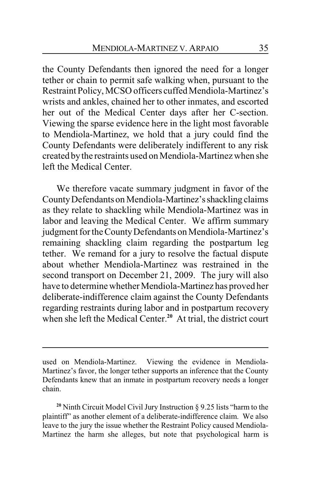the County Defendants then ignored the need for a longer tether or chain to permit safe walking when, pursuant to the Restraint Policy, MCSO officers cuffed Mendiola-Martinez's wrists and ankles, chained her to other inmates, and escorted her out of the Medical Center days after her C-section. Viewing the sparse evidence here in the light most favorable to Mendiola-Martinez, we hold that a jury could find the County Defendants were deliberately indifferent to any risk created bythe restraints used on Mendiola-Martinez when she left the Medical Center.

We therefore vacate summary judgment in favor of the CountyDefendants on Mendiola-Martinez'sshackling claims as they relate to shackling while Mendiola-Martinez was in labor and leaving the Medical Center. We affirm summary judgment for the County Defendants on Mendiola-Martinez's remaining shackling claim regarding the postpartum leg tether. We remand for a jury to resolve the factual dispute about whether Mendiola-Martinez was restrained in the second transport on December 21, 2009. The jury will also have to determine whether Mendiola-Martinez has proved her deliberate-indifference claim against the County Defendants regarding restraints during labor and in postpartum recovery when she left the Medical Center.<sup>20</sup> At trial, the district court

**<sup>20</sup>** Ninth Circuit Model Civil Jury Instruction § 9.25 lists "harm to the plaintiff" as another element of a deliberate-indifference claim. We also leave to the jury the issue whether the Restraint Policy caused Mendiola-Martinez the harm she alleges, but note that psychological harm is

used on Mendiola-Martinez. Viewing the evidence in Mendiola-Martinez's favor, the longer tether supports an inference that the County Defendants knew that an inmate in postpartum recovery needs a longer chain.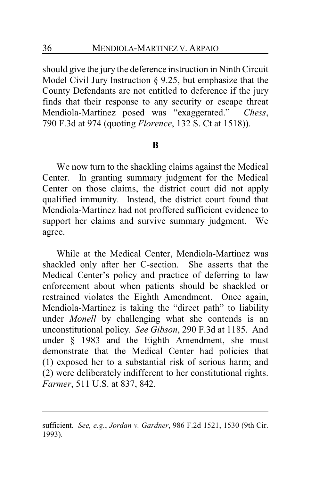should give the jury the deference instruction in Ninth Circuit Model Civil Jury Instruction § 9.25, but emphasize that the County Defendants are not entitled to deference if the jury finds that their response to any security or escape threat Mendiola-Martinez posed was "exaggerated." *Chess*, 790 F.3d at 974 (quoting *Florence*, 132 S. Ct at 1518)).

## **B**

We now turn to the shackling claims against the Medical Center. In granting summary judgment for the Medical Center on those claims, the district court did not apply qualified immunity. Instead, the district court found that Mendiola-Martinez had not proffered sufficient evidence to support her claims and survive summary judgment. We agree.

While at the Medical Center, Mendiola-Martinez was shackled only after her C-section. She asserts that the Medical Center's policy and practice of deferring to law enforcement about when patients should be shackled or restrained violates the Eighth Amendment. Once again, Mendiola-Martinez is taking the "direct path" to liability under *Monell* by challenging what she contends is an unconstitutional policy. *See Gibson*, 290 F.3d at 1185. And under § 1983 and the Eighth Amendment, she must demonstrate that the Medical Center had policies that (1) exposed her to a substantial risk of serious harm; and (2) were deliberately indifferent to her constitutional rights. *Farmer*, 511 U.S. at 837, 842.

sufficient. *See, e.g.*, *Jordan v. Gardner*, 986 F.2d 1521, 1530 (9th Cir. 1993).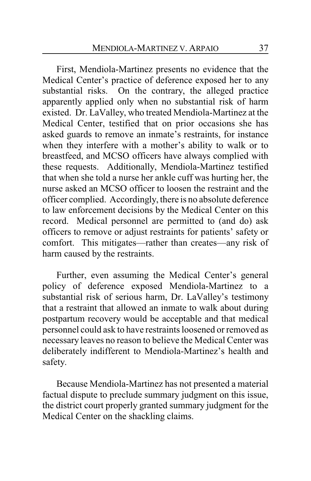First, Mendiola-Martinez presents no evidence that the Medical Center's practice of deference exposed her to any substantial risks. On the contrary, the alleged practice apparently applied only when no substantial risk of harm existed. Dr. LaValley, who treated Mendiola-Martinez at the Medical Center, testified that on prior occasions she has asked guards to remove an inmate's restraints, for instance when they interfere with a mother's ability to walk or to breastfeed, and MCSO officers have always complied with these requests. Additionally, Mendiola-Martinez testified that when she told a nurse her ankle cuff was hurting her, the nurse asked an MCSO officer to loosen the restraint and the officer complied. Accordingly, there is no absolute deference to law enforcement decisions by the Medical Center on this record. Medical personnel are permitted to (and do) ask officers to remove or adjust restraints for patients' safety or comfort. This mitigates—rather than creates—any risk of harm caused by the restraints.

Further, even assuming the Medical Center's general policy of deference exposed Mendiola-Martinez to a substantial risk of serious harm, Dr. LaValley's testimony that a restraint that allowed an inmate to walk about during postpartum recovery would be acceptable and that medical personnel could ask to have restraints loosened or removed as necessary leaves no reason to believe the Medical Center was deliberately indifferent to Mendiola-Martinez's health and safety.

Because Mendiola-Martinez has not presented a material factual dispute to preclude summary judgment on this issue, the district court properly granted summary judgment for the Medical Center on the shackling claims.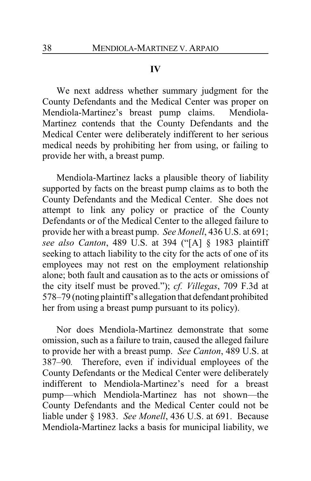#### **IV**

We next address whether summary judgment for the County Defendants and the Medical Center was proper on Mendiola-Martinez's breast pump claims. Mendiola-Martinez contends that the County Defendants and the Medical Center were deliberately indifferent to her serious medical needs by prohibiting her from using, or failing to provide her with, a breast pump.

Mendiola-Martinez lacks a plausible theory of liability supported by facts on the breast pump claims as to both the County Defendants and the Medical Center. She does not attempt to link any policy or practice of the County Defendants or of the Medical Center to the alleged failure to provide her with a breast pump. *See Monell*, 436 U.S. at 691; *see also Canton*, 489 U.S. at 394 ("[A] § 1983 plaintiff seeking to attach liability to the city for the acts of one of its employees may not rest on the employment relationship alone; both fault and causation as to the acts or omissions of the city itself must be proved."); *cf. Villegas*, 709 F.3d at 578–79 (noting plaintiff's allegation that defendant prohibited her from using a breast pump pursuant to its policy).

Nor does Mendiola-Martinez demonstrate that some omission, such as a failure to train, caused the alleged failure to provide her with a breast pump. *See Canton*, 489 U.S. at 387–90*.* Therefore, even if individual employees of the County Defendants or the Medical Center were deliberately indifferent to Mendiola-Martinez's need for a breast pump—which Mendiola-Martinez has not shown—the County Defendants and the Medical Center could not be liable under § 1983. *See Monell*, 436 U.S. at 691. Because Mendiola-Martinez lacks a basis for municipal liability, we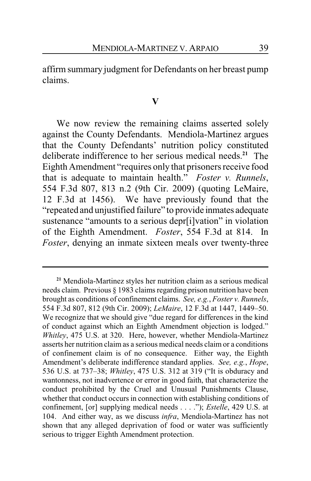affirm summary judgment for Defendants on her breast pump claims.

#### **V**

We now review the remaining claims asserted solely against the County Defendants. Mendiola-Martinez argues that the County Defendants' nutrition policy constituted deliberate indifference to her serious medical needs.**<sup>21</sup>** The Eighth Amendment "requires only that prisoners receive food that is adequate to maintain health." *Foster v. Runnels*, 554 F.3d 807, 813 n.2 (9th Cir. 2009) (quoting LeMaire, 12 F.3d at 1456). We have previously found that the "repeated and unjustified failure" to provide inmates adequate sustenance "amounts to a serious depr[i]vation" in violation of the Eighth Amendment. *Foster*, 554 F.3d at 814. In *Foster*, denying an inmate sixteen meals over twenty-three

**<sup>21</sup>** Mendiola-Martinez styles her nutrition claim as a serious medical needs claim. Previous § 1983 claims regarding prison nutrition have been brought as conditions of confinement claims. *See, e.g.*, *Foster v. Runnels*, 554 F.3d 807, 812 (9th Cir. 2009); *LeMaire*, 12 F.3d at 1447, 1449–50. We recognize that we should give "due regard for differences in the kind of conduct against which an Eighth Amendment objection is lodged." *Whitley*, 475 U.S. at 320. Here, however, whether Mendiola-Martinez asserts her nutrition claim as a serious medical needs claim or a conditions of confinement claim is of no consequence. Either way, the Eighth Amendment's deliberate indifference standard applies. *See, e.g.*, *Hope*, 536 U.S. at 737–38; *Whitley*, 475 U.S. 312 at 319 ("It is obduracy and wantonness, not inadvertence or error in good faith, that characterize the conduct prohibited by the Cruel and Unusual Punishments Clause, whether that conduct occurs in connection with establishing conditions of confinement, [or] supplying medical needs . . . ."); *Estelle*, 429 U.S. at 104. And either way, as we discuss *infra*, Mendiola-Martinez has not shown that any alleged deprivation of food or water was sufficiently serious to trigger Eighth Amendment protection.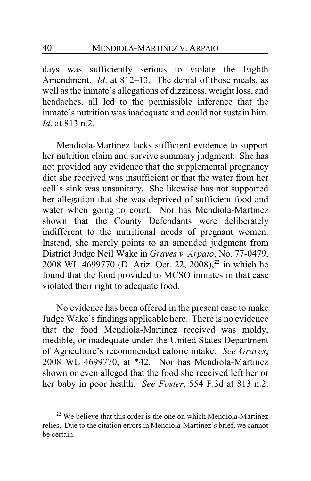days was sufficiently serious to violate the Eighth Amendment. *Id*. at 812–13. The denial of those meals, as well as the inmate's allegations of dizziness, weight loss, and headaches, all led to the permissible inference that the inmate's nutrition was inadequate and could not sustain him. *Id*. at 813 n.2.

Mendiola-Martinez lacks sufficient evidence to support her nutrition claim and survive summary judgment. She has not provided any evidence that the supplemental pregnancy diet she received was insufficient or that the water from her cell's sink was unsanitary. She likewise has not supported her allegation that she was deprived of sufficient food and water when going to court. Nor has Mendiola-Martinez shown that the County Defendants were deliberately indifferent to the nutritional needs of pregnant women. Instead, she merely points to an amended judgment from District Judge Neil Wake in *Graves v. Arpaio*, No. 77-0479, 2008 WL 4699770 (D. Ariz. Oct. 22, 2008), **22** in which he found that the food provided to MCSO inmates in that case violated their right to adequate food.

No evidence has been offered in the present case to make Judge Wake's findings applicable here. There is no evidence that the food Mendiola-Martinez received was moldy, inedible, or inadequate under the United States Department of Agriculture's recommended caloric intake. *See Graves*, 2008 WL 4699770, at \*42. Nor has Mendiola-Martinez shown or even alleged that the food she received left her or her baby in poor health. *See Foster*, 554 F.3d at 813 n.2.

**<sup>22</sup>** We believe that this order is the one on which Mendiola-Martinez relies. Due to the citation errors in Mendiola-Martinez's brief, we cannot be certain.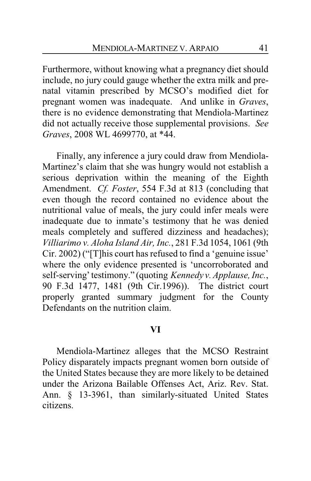Furthermore, without knowing what a pregnancy diet should include, no jury could gauge whether the extra milk and prenatal vitamin prescribed by MCSO's modified diet for pregnant women was inadequate. And unlike in *Graves*, there is no evidence demonstrating that Mendiola-Martinez did not actually receive those supplemental provisions. *See Graves*, 2008 WL 4699770, at \*44.

Finally, any inference a jury could draw from Mendiola-Martinez's claim that she was hungry would not establish a serious deprivation within the meaning of the Eighth Amendment. *Cf. Foster*, 554 F.3d at 813 (concluding that even though the record contained no evidence about the nutritional value of meals, the jury could infer meals were inadequate due to inmate's testimony that he was denied meals completely and suffered dizziness and headaches); *Villiarimo v. Aloha Island Air, Inc.*, 281 F.3d 1054, 1061 (9th Cir. 2002) ("[T]his court has refused to find a 'genuine issue' where the only evidence presented is 'uncorroborated and self-serving'testimony." (quoting *Kennedy v. Applause, Inc.*, 90 F.3d 1477, 1481 (9th Cir.1996)). The district court properly granted summary judgment for the County Defendants on the nutrition claim.

#### **VI**

Mendiola-Martinez alleges that the MCSO Restraint Policy disparately impacts pregnant women born outside of the United States because they are more likely to be detained under the Arizona Bailable Offenses Act, Ariz. Rev. Stat. Ann. § 13-3961, than similarly-situated United States citizens.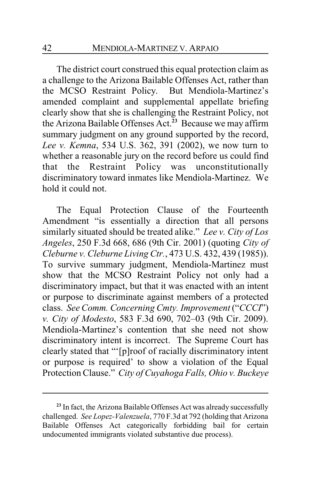The district court construed this equal protection claim as a challenge to the Arizona Bailable Offenses Act, rather than the MCSO Restraint Policy. But Mendiola-Martinez's amended complaint and supplemental appellate briefing clearly show that she is challenging the Restraint Policy, not the Arizona Bailable Offenses Act.**<sup>23</sup>** Because we may affirm summary judgment on any ground supported by the record, *Lee v. Kemna*, 534 U.S. 362, 391 (2002), we now turn to whether a reasonable jury on the record before us could find that the Restraint Policy was unconstitutionally discriminatory toward inmates like Mendiola-Martinez. We hold it could not.

The Equal Protection Clause of the Fourteenth Amendment "is essentially a direction that all persons similarly situated should be treated alike." *Lee v. City of Los Angeles*, 250 F.3d 668, 686 (9th Cir. 2001) (quoting *City of Cleburne v. Cleburne Living Ctr.*, 473 U.S. 432, 439 (1985)). To survive summary judgment, Mendiola-Martinez must show that the MCSO Restraint Policy not only had a discriminatory impact, but that it was enacted with an intent or purpose to discriminate against members of a protected class. *See Comm. Concerning Cmty. Improvement* ("*CCCI*") *v. City of Modesto*, 583 F.3d 690, 702–03 (9th Cir. 2009). Mendiola-Martinez's contention that she need not show discriminatory intent is incorrect. The Supreme Court has clearly stated that "'[p]roof of racially discriminatory intent or purpose is required' to show a violation of the Equal Protection Clause." *City of Cuyahoga Falls, Ohio v. Buckeye*

**<sup>23</sup>** In fact, the Arizona Bailable Offenses Act was already successfully challenged. *See Lopez-Valenzuela*, 770 F.3d at 792 (holding that Arizona Bailable Offenses Act categorically forbidding bail for certain undocumented immigrants violated substantive due process).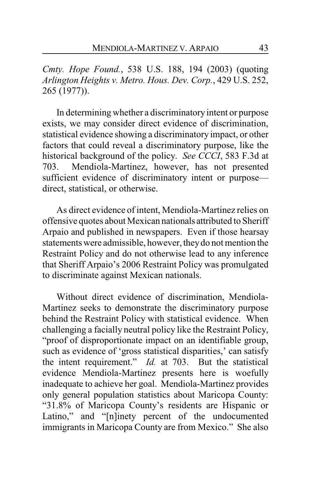*Cmty. Hope Found.*, 538 U.S. 188, 194 (2003) (quoting *Arlington Heights v. Metro. Hous. Dev. Corp.*, 429 U.S. 252, 265 (1977)).

In determining whether a discriminatory intent or purpose exists, we may consider direct evidence of discrimination, statistical evidence showing a discriminatory impact, or other factors that could reveal a discriminatory purpose, like the historical background of the policy. *See CCCI*, 583 F.3d at 703. Mendiola-Martinez, however, has not presented sufficient evidence of discriminatory intent or purpose direct, statistical, or otherwise.

As direct evidence of intent, Mendiola-Martinez relies on offensive quotes about Mexican nationals attributed to Sheriff Arpaio and published in newspapers. Even if those hearsay statements were admissible, however, theydo not mention the Restraint Policy and do not otherwise lead to any inference that Sheriff Arpaio's 2006 Restraint Policy was promulgated to discriminate against Mexican nationals.

Without direct evidence of discrimination, Mendiola-Martinez seeks to demonstrate the discriminatory purpose behind the Restraint Policy with statistical evidence. When challenging a facially neutral policy like the Restraint Policy, "proof of disproportionate impact on an identifiable group, such as evidence of 'gross statistical disparities,' can satisfy the intent requirement." *Id.* at 703. But the statistical evidence Mendiola-Martinez presents here is woefully inadequate to achieve her goal. Mendiola-Martinez provides only general population statistics about Maricopa County: "31.8% of Maricopa County's residents are Hispanic or Latino," and "[n]inety percent of the undocumented immigrants in Maricopa County are from Mexico." She also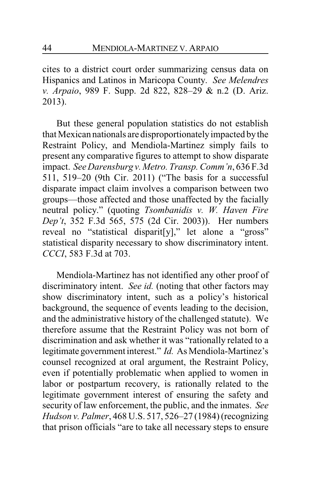cites to a district court order summarizing census data on Hispanics and Latinos in Maricopa County. *See Melendres v. Arpaio*, 989 F. Supp. 2d 822, 828–29 & n.2 (D. Ariz. 2013).

But these general population statistics do not establish that Mexican nationals are disproportionatelyimpacted bythe Restraint Policy, and Mendiola-Martinez simply fails to present any comparative figures to attempt to show disparate impact. *SeeDarensburg v. Metro. Transp. Comm'n*, 636 F.3d 511, 519–20 (9th Cir. 2011) ("The basis for a successful disparate impact claim involves a comparison between two groups—those affected and those unaffected by the facially neutral policy." (quoting *Tsombanidis v. W. Haven Fire Dep't*, 352 F.3d 565, 575 (2d Cir. 2003)). Her numbers reveal no "statistical disparit[y]," let alone a "gross" statistical disparity necessary to show discriminatory intent. *CCCI*, 583 F.3d at 703.

Mendiola-Martinez has not identified any other proof of discriminatory intent. *See id.* (noting that other factors may show discriminatory intent, such as a policy's historical background, the sequence of events leading to the decision, and the administrative history of the challenged statute). We therefore assume that the Restraint Policy was not born of discrimination and ask whether it was "rationally related to a legitimate government interest." *Id.* As Mendiola-Martinez's counsel recognized at oral argument, the Restraint Policy, even if potentially problematic when applied to women in labor or postpartum recovery, is rationally related to the legitimate government interest of ensuring the safety and security of law enforcement, the public, and the inmates. *See Hudson v. Palmer*, 468 U.S. 517, 526–27 (1984) (recognizing that prison officials "are to take all necessary steps to ensure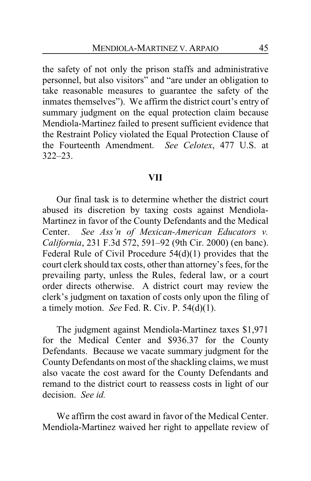the safety of not only the prison staffs and administrative personnel, but also visitors" and "are under an obligation to take reasonable measures to guarantee the safety of the inmates themselves"). We affirm the district court's entry of summary judgment on the equal protection claim because Mendiola-Martinez failed to present sufficient evidence that the Restraint Policy violated the Equal Protection Clause of the Fourteenth Amendment. *See Celotex*, 477 U.S. at 322–23.

#### **VII**

Our final task is to determine whether the district court abused its discretion by taxing costs against Mendiola-Martinez in favor of the County Defendants and the Medical Center. *See Ass'n of Mexican-American Educators v. California*, 231 F.3d 572, 591–92 (9th Cir. 2000) (en banc). Federal Rule of Civil Procedure 54(d)(1) provides that the court clerk should tax costs, other than attorney's fees, for the prevailing party, unless the Rules, federal law, or a court order directs otherwise. A district court may review the clerk's judgment on taxation of costs only upon the filing of a timely motion. *See* Fed. R. Civ. P. 54(d)(1).

The judgment against Mendiola-Martinez taxes \$1,971 for the Medical Center and \$936.37 for the County Defendants. Because we vacate summary judgment for the County Defendants on most of the shackling claims, we must also vacate the cost award for the County Defendants and remand to the district court to reassess costs in light of our decision. *See id.*

We affirm the cost award in favor of the Medical Center. Mendiola-Martinez waived her right to appellate review of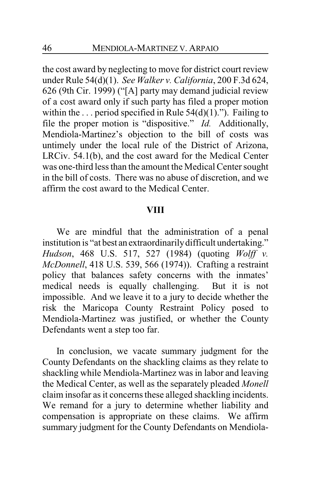the cost award by neglecting to move for district court review under Rule 54(d)(1). *See Walker v. California*, 200 F.3d 624, 626 (9th Cir. 1999) ("[A] party may demand judicial review of a cost award only if such party has filed a proper motion within the  $\ldots$  period specified in Rule 54(d)(1)."). Failing to file the proper motion is "dispositive." *Id.* Additionally, Mendiola-Martinez's objection to the bill of costs was untimely under the local rule of the District of Arizona, LRCiv. 54.1(b), and the cost award for the Medical Center was one-third less than the amount the Medical Center sought in the bill of costs. There was no abuse of discretion, and we affirm the cost award to the Medical Center.

#### **VIII**

We are mindful that the administration of a penal institution is "at best an extraordinarily difficult undertaking." *Hudson*, 468 U.S. 517, 527 (1984) (quoting *Wolff v. McDonnell*, 418 U.S. 539, 566 (1974)). Crafting a restraint policy that balances safety concerns with the inmates' medical needs is equally challenging. But it is not impossible. And we leave it to a jury to decide whether the risk the Maricopa County Restraint Policy posed to Mendiola-Martinez was justified, or whether the County Defendants went a step too far.

In conclusion, we vacate summary judgment for the County Defendants on the shackling claims as they relate to shackling while Mendiola-Martinez was in labor and leaving the Medical Center, as well as the separately pleaded *Monell* claim insofar as it concerns these alleged shackling incidents. We remand for a jury to determine whether liability and compensation is appropriate on these claims. We affirm summary judgment for the County Defendants on Mendiola-